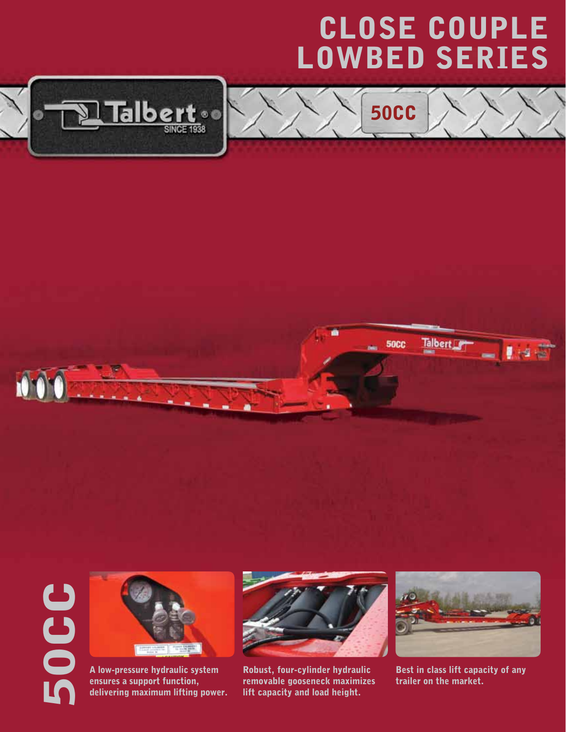## CLOSE COUPLE LOWBED Series

50CC







A low-pressure hydraulic system ensures a support function, delivering maximum lifting power.



Robust, four-cylinder hydraulic removable gooseneck maximizes lift capacity and load height.



Best in class lift capacity of any trailer on the market.